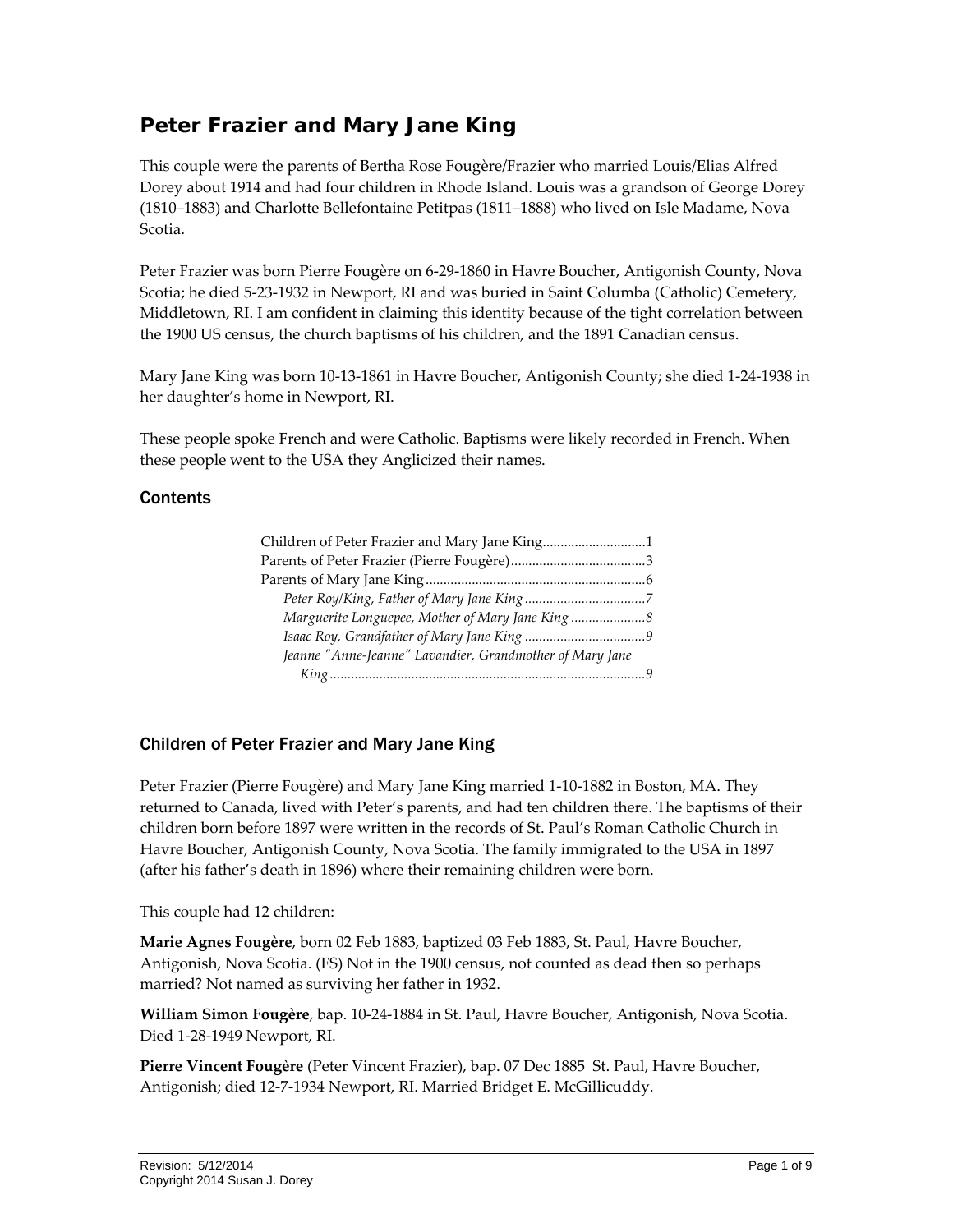# **Peter Frazier and Mary Jane King**

This couple were the parents of Bertha Rose Fougère/Frazier who married Louis/Elias Alfred Dorey about 1914 and had four children in Rhode Island. Louis was a grandson of George Dorey (1810–1883) and Charlotte Bellefontaine Petitpas (1811–1888) who lived on Isle Madame, Nova Scotia.

Peter Frazier was born Pierre Fougère on 6‐29‐1860 in Havre Boucher, Antigonish County, Nova Scotia; he died 5‐23‐1932 in Newport, RI and was buried in Saint Columba (Catholic) Cemetery, Middletown, RI. I am confident in claiming this identity because of the tight correlation between the 1900 US census, the church baptisms of his children, and the 1891 Canadian census.

Mary Jane King was born 10‐13‐1861 in Havre Boucher, Antigonish County; she died 1‐24‐1938 in her daughter's home in Newport, RI.

These people spoke French and were Catholic. Baptisms were likely recorded in French. When these people went to the USA they Anglicized their names.

#### **Contents**

| Children of Peter Frazier and Mary Jane King1            |  |
|----------------------------------------------------------|--|
|                                                          |  |
|                                                          |  |
|                                                          |  |
| Marguerite Longuepee, Mother of Mary Jane King           |  |
|                                                          |  |
| Jeanne "Anne-Jeanne" Lavandier, Grandmother of Mary Jane |  |
|                                                          |  |

## <span id="page-0-0"></span>Children of Peter Frazier and Mary Jane King

Peter Frazier (Pierre Fougère) and Mary Jane King married 1‐10‐1882 in Boston, MA. They returned to Canada, lived with Peter's parents, and had ten children there. The baptisms of their children born before 1897 were written in the records of St. Paul's Roman Catholic Church in Havre Boucher, Antigonish County, Nova Scotia. The family immigrated to the USA in 1897 (after his father's death in 1896) where their remaining children were born.

This couple had 12 children:

**Marie Agnes Fougère**, born 02 Feb 1883, baptized 03 Feb 1883, St. Paul, Havre Boucher, Antigonish, Nova Scotia. (FS) Not in the 1900 census, not counted as dead then so perhaps married? Not named as surviving her father in 1932.

**William Simon Fougère**, bap. 10‐24‐1884 in St. Paul, Havre Boucher, Antigonish, Nova Scotia. Died 1‐28‐1949 Newport, RI.

**Pierre Vincent Fougère** (Peter Vincent Frazier), bap. 07 Dec 1885 St. Paul, Havre Boucher, Antigonish; died 12‐7‐1934 Newport, RI. Married Bridget E. McGillicuddy.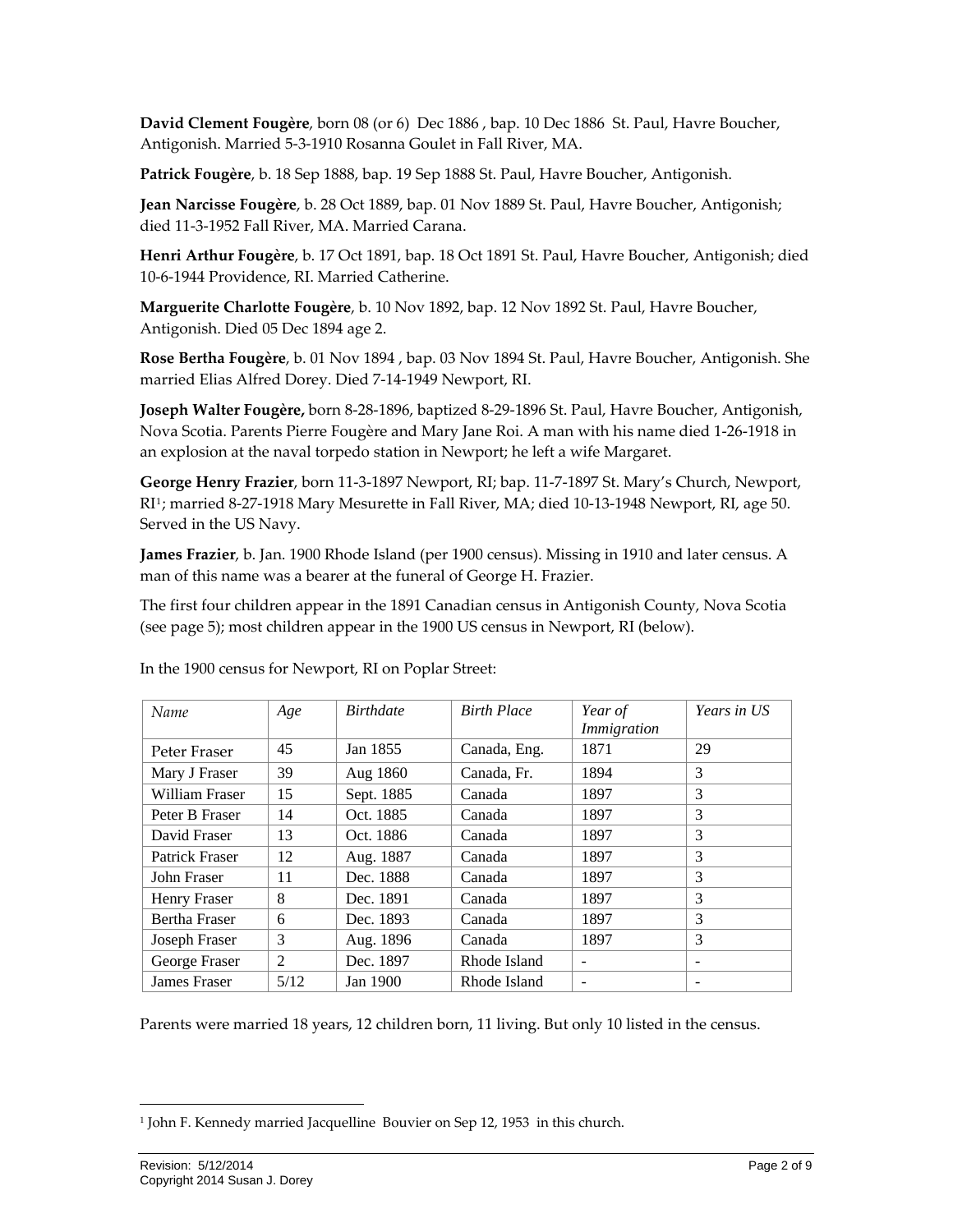**David Clement Fougère**, born 08 (or 6) Dec 1886 , bap. 10 Dec 1886 St. Paul, Havre Boucher, Antigonish. Married 5‐3‐1910 Rosanna Goulet in Fall River, MA.

**Patrick Fougère**, b. 18 Sep 1888, bap. 19 Sep 1888 St. Paul, Havre Boucher, Antigonish.

**Jean Narcisse Fougère**, b. 28 Oct 1889, bap. 01 Nov 1889 St. Paul, Havre Boucher, Antigonish; died 11‐3‐1952 Fall River, MA. Married Carana.

**Henri Arthur Fougère**, b. 17 Oct 1891, bap. 18 Oct 1891 St. Paul, Havre Boucher, Antigonish; died 10‐6‐1944 Providence, RI. Married Catherine.

**Marguerite Charlotte Fougère**, b. 10 Nov 1892, bap. 12 Nov 1892 St. Paul, Havre Boucher, Antigonish. Died 05 Dec 1894 age 2.

**Rose Bertha Fougère**, b. 01 Nov 1894 , bap. 03 Nov 1894 St. Paul, Havre Boucher, Antigonish. She married Elias Alfred Dorey. Died 7‐14‐1949 Newport, RI.

**Joseph Walter Fougère,** born 8‐28‐1896, baptized 8‐29‐1896 St. Paul, Havre Boucher, Antigonish, Nova Scotia. Parents Pierre Fougère and Mary Jane Roi. A man with his name died 1‐26‐1918 in an explosion at the naval torpedo station in Newport; he left a wife Margaret.

**George Henry Frazier**, born 11‐3‐1897 Newport, RI; bap. 11‐7‐1897 St. Mary's Church, Newport, RI[1](#page-1-0); married 8‐27‐1918 Mary Mesurette in Fall River, MA; died 10‐13‐1948 Newport, RI, age 50. Served in the US Navy.

**James Frazier**, b. Jan. 1900 Rhode Island (per 1900 census). Missing in 1910 and later census. A man of this name was a bearer at the funeral of George H. Frazier.

The first four children appear in the 1891 Canadian census in Antigonish County, Nova Scotia (see page [5\)](#page-4-0); most children appear in the 1900 US census in Newport, RI (below).

| Name                 | Age  | <b>Birthdate</b> | <b>Birth Place</b> | Year of<br>Immigration   | Years in US |
|----------------------|------|------------------|--------------------|--------------------------|-------------|
| Peter Fraser         | 45   | Jan 1855         | Canada, Eng.       | 1871                     | 29          |
| Mary J Fraser        | 39   | Aug 1860         | Canada, Fr.        | 1894                     | 3           |
| William Fraser       | 15   | Sept. 1885       | Canada             | 1897                     | 3           |
| Peter B Fraser       | 14   | Oct. 1885        | Canada             | 1897                     | 3           |
| David Fraser         | 13   | Oct. 1886        | Canada             | 1897                     | 3           |
| Patrick Fraser       | 12   | Aug. 1887        | Canada             | 1897                     | 3           |
| John Fraser          | 11   | Dec. 1888        | Canada             | 1897                     | 3           |
| Henry Fraser         | 8    | Dec. 1891        | Canada             | 1897                     | 3           |
| <b>Bertha Fraser</b> | 6    | Dec. 1893        | Canada             | 1897                     | 3           |
| Joseph Fraser        | 3    | Aug. 1896        | Canada             | 1897                     | 3           |
| George Fraser        | 2    | Dec. 1897        | Rhode Island       | $\overline{\phantom{0}}$ |             |
| James Fraser         | 5/12 | Jan 1900         | Rhode Island       |                          |             |

In the 1900 census for Newport, RI on Poplar Street:

Parents were married 18 years, 12 children born, 11 living. But only 10 listed in the census.

<u> 1989 - Johann Stein, marwolaethau a bhann an t-Amhair Aonaichte an t-Amhair Aonaichte an t-Amhair Aonaichte a</u>

<span id="page-1-0"></span><sup>&</sup>lt;sup>1</sup> John F. Kennedy married Jacquelline Bouvier on Sep 12, 1953 in this church.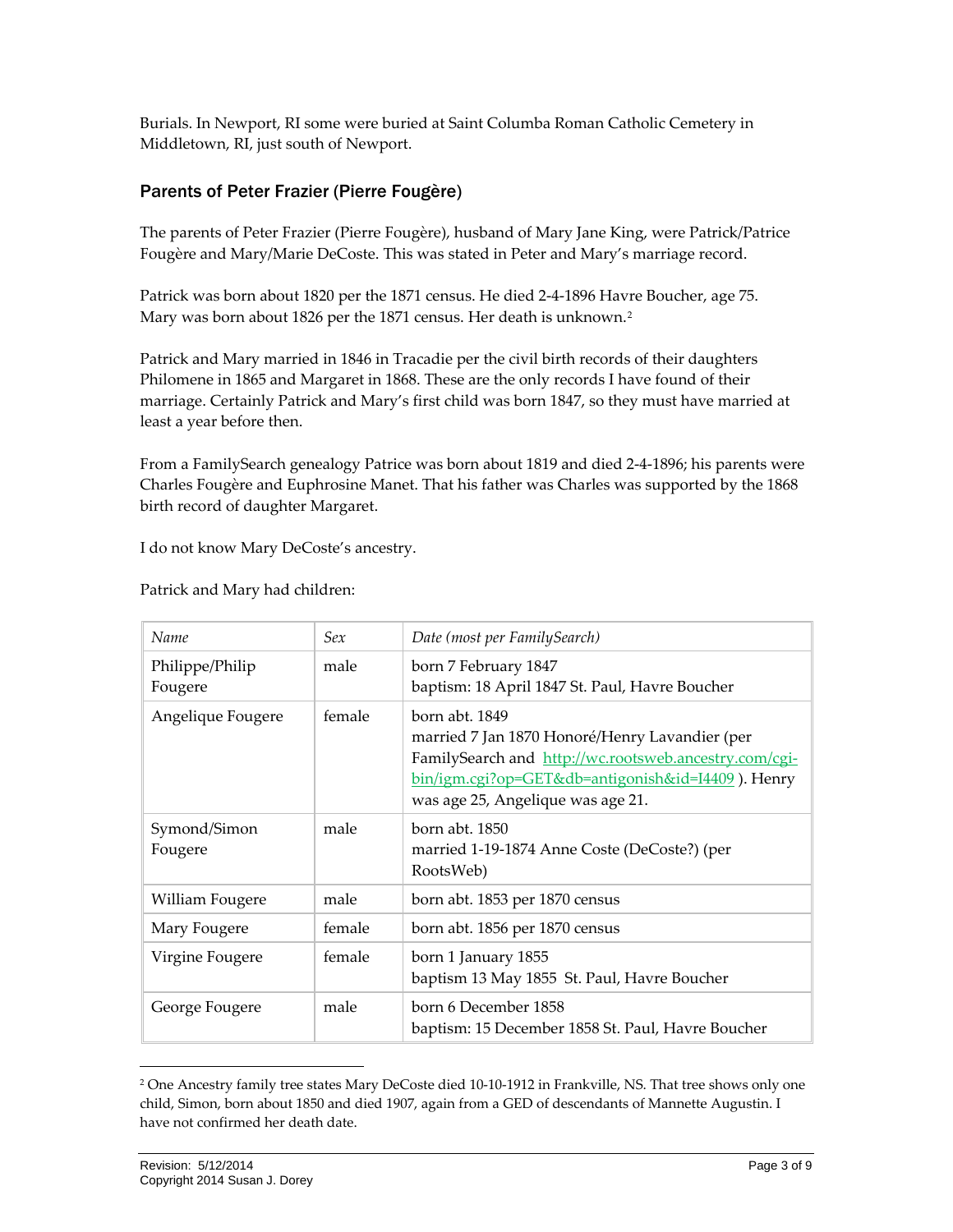Burials. In Newport, RI some were buried at Saint Columba Roman Catholic Cemetery in Middletown, RI, just south of Newport.

### <span id="page-2-0"></span>Parents of Peter Frazier (Pierre Fougère)

The parents of Peter Frazier (Pierre Fougère), husband of Mary Jane King, were Patrick/Patrice Fougère and Mary/Marie DeCoste. This was stated in Peter and Mary's marriage record.

Patrick was born about 1820 per the 1871 census. He died 2‐4‐1896 Havre Boucher, age 75. Mary was born about 18[2](#page-2-1)6 per the 1871 census. Her death is unknown.<sup>2</sup>

Patrick and Mary married in 1846 in Tracadie per the civil birth records of their daughters Philomene in 1865 and Margaret in 1868. These are the only records I have found of their marriage. Certainly Patrick and Mary's first child was born 1847, so they must have married at least a year before then.

From a FamilySearch genealogy Patrice was born about 1819 and died 2‐4‐1896; his parents were Charles Fougère and Euphrosine Manet. That his father was Charles was supported by the 1868 birth record of daughter Margaret.

I do not know Mary DeCoste's ancestry.

| Name                       | Sex    | Date (most per FamilySearch)                                                                                                                                                                                        |
|----------------------------|--------|---------------------------------------------------------------------------------------------------------------------------------------------------------------------------------------------------------------------|
| Philippe/Philip<br>Fougere | male   | born 7 February 1847<br>baptism: 18 April 1847 St. Paul, Havre Boucher                                                                                                                                              |
| Angelique Fougere          | female | born abt. 1849<br>married 7 Jan 1870 Honoré/Henry Lavandier (per<br>FamilySearch and http://wc.rootsweb.ancestry.com/cgi-<br>bin/igm.cgi?op=GET&db=antigonish&id=I4409). Henry<br>was age 25, Angelique was age 21. |
| Symond/Simon<br>Fougere    | male   | born abt. 1850<br>married 1-19-1874 Anne Coste (DeCoste?) (per<br>RootsWeb)                                                                                                                                         |
| William Fougere            | male   | born abt. 1853 per 1870 census                                                                                                                                                                                      |
| Mary Fougere               | female | born abt. 1856 per 1870 census                                                                                                                                                                                      |
| Virgine Fougere            | female | born 1 January 1855<br>baptism 13 May 1855 St. Paul, Havre Boucher                                                                                                                                                  |
| George Fougere             | male   | born 6 December 1858<br>baptism: 15 December 1858 St. Paul, Havre Boucher                                                                                                                                           |

Patrick and Mary had children:

<u> 1989 - Johann Stein, marwolaethau a bhann an t-Amhair Aonaichte an t-Amhair Aonaichte an t-Amhair Aonaichte a</u>

<span id="page-2-1"></span><sup>2</sup> One Ancestry family tree states Mary DeCoste died 10‐10‐1912 in Frankville, NS. That tree shows only one child, Simon, born about 1850 and died 1907, again from a GED of descendants of Mannette Augustin. I have not confirmed her death date.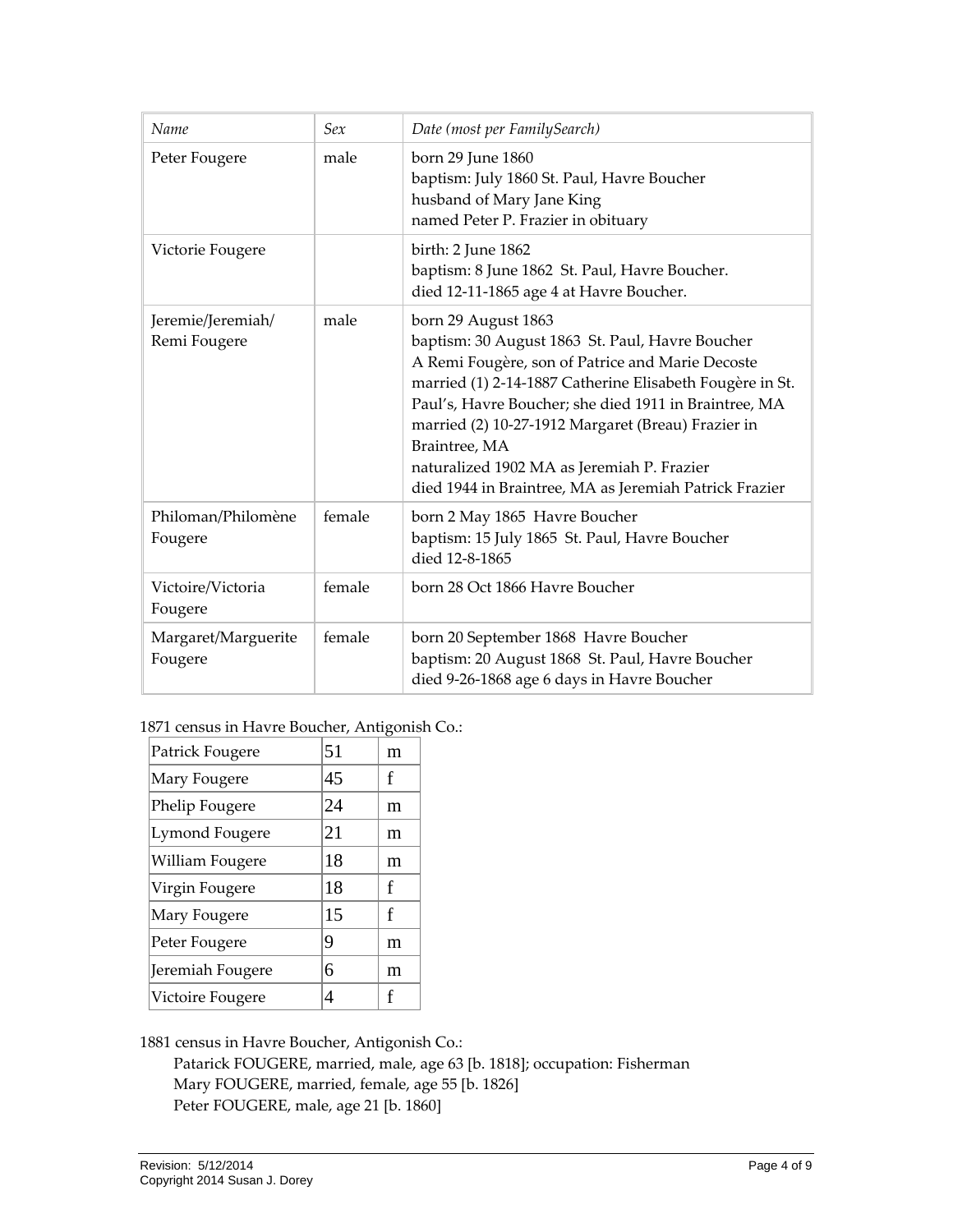| Name                              | Sex    | Date (most per FamilySearch)                                                                                                                                                                                                                                                                                                                                                                                                   |
|-----------------------------------|--------|--------------------------------------------------------------------------------------------------------------------------------------------------------------------------------------------------------------------------------------------------------------------------------------------------------------------------------------------------------------------------------------------------------------------------------|
| Peter Fougere                     | male   | born 29 June 1860<br>baptism: July 1860 St. Paul, Havre Boucher<br>husband of Mary Jane King<br>named Peter P. Frazier in obituary                                                                                                                                                                                                                                                                                             |
| Victorie Fougere                  |        | birth: 2 June 1862<br>baptism: 8 June 1862 St. Paul, Havre Boucher.<br>died 12-11-1865 age 4 at Havre Boucher.                                                                                                                                                                                                                                                                                                                 |
| Jeremie/Jeremiah/<br>Remi Fougere | male   | born 29 August 1863<br>baptism: 30 August 1863 St. Paul, Havre Boucher<br>A Remi Fougère, son of Patrice and Marie Decoste<br>married (1) 2-14-1887 Catherine Elisabeth Fougère in St.<br>Paul's, Havre Boucher; she died 1911 in Braintree, MA<br>married (2) 10-27-1912 Margaret (Breau) Frazier in<br>Braintree, MA<br>naturalized 1902 MA as Jeremiah P. Frazier<br>died 1944 in Braintree, MA as Jeremiah Patrick Frazier |
| Philoman/Philomène<br>Fougere     | female | born 2 May 1865 Havre Boucher<br>baptism: 15 July 1865 St. Paul, Havre Boucher<br>died 12-8-1865                                                                                                                                                                                                                                                                                                                               |
| Victoire/Victoria<br>Fougere      | female | born 28 Oct 1866 Havre Boucher                                                                                                                                                                                                                                                                                                                                                                                                 |
| Margaret/Marguerite<br>Fougere    | female | born 20 September 1868 Havre Boucher<br>baptism: 20 August 1868 St. Paul, Havre Boucher<br>died 9-26-1868 age 6 days in Havre Boucher                                                                                                                                                                                                                                                                                          |

1871 census in Havre Boucher, Antigonish Co.:

| Patrick Fougere       | 51 | m |
|-----------------------|----|---|
| Mary Fougere          | 45 | f |
| Phelip Fougere        | 24 | m |
| <b>Lymond Fougere</b> | 21 | m |
| William Fougere       | 18 | m |
| Virgin Fougere        | 18 | f |
| Mary Fougere          | 15 | f |
| Peter Fougere         | 9  | m |
| Jeremiah Fougere      | 6  | m |
| Victoire Fougere      | 4  | f |

1881 census in Havre Boucher, Antigonish Co.:

Patarick FOUGERE, married, male, age 63 [b. 1818]; occupation: Fisherman Mary FOUGERE, married, female, age 55 [b. 1826] Peter FOUGERE, male, age 21 [b. 1860]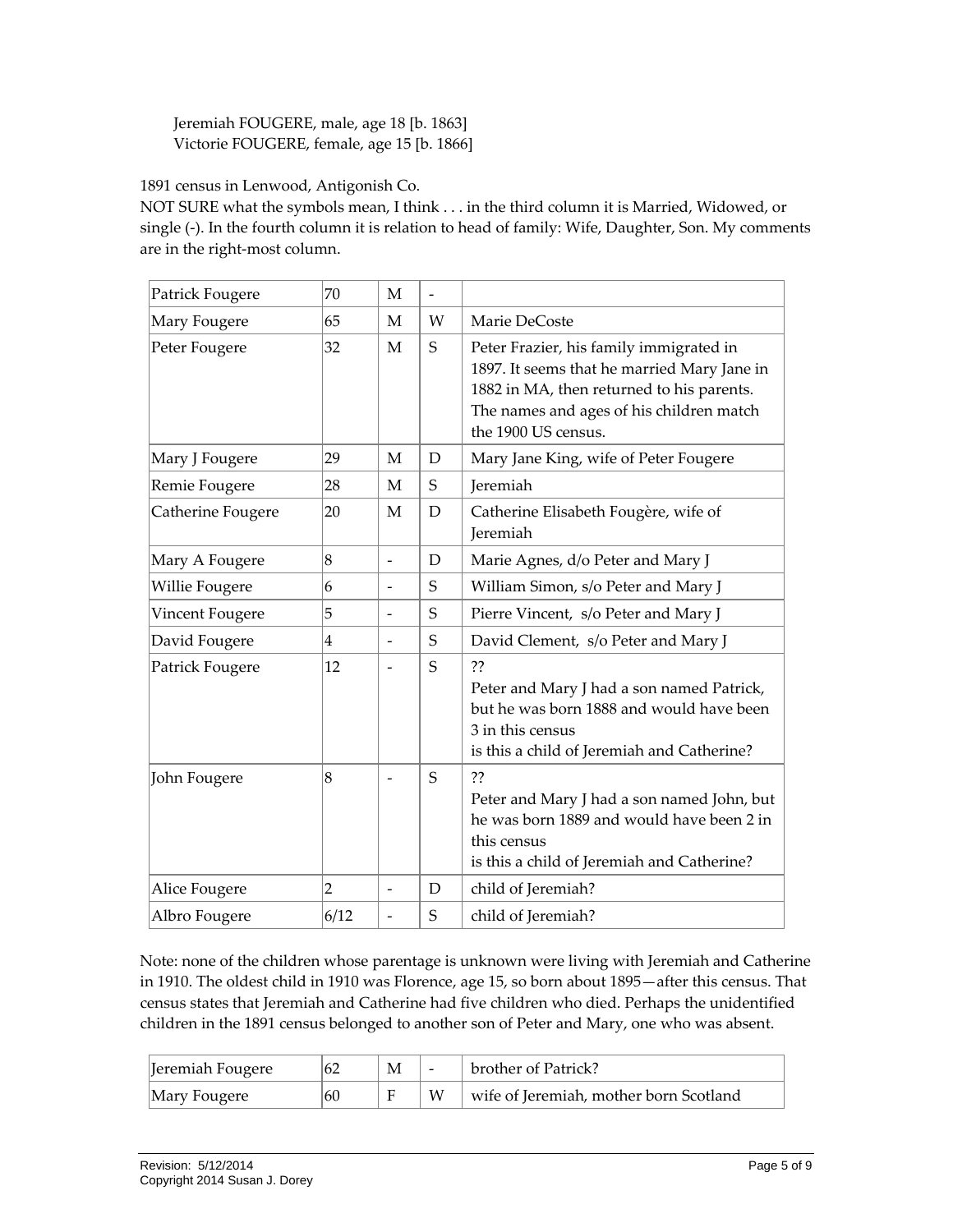Jeremiah FOUGERE, male, age 18 [b. 1863] Victorie FOUGERE, female, age 15 [b. 1866]

<span id="page-4-0"></span>1891 census in Lenwood, Antigonish Co.

NOT SURE what the symbols mean, I think . . . in the third column it is Married, Widowed, or single (-). In the fourth column it is relation to head of family: Wife, Daughter, Son. My comments are in the right‐most column.

| Patrick Fougere       | 70                      | $\mathbf{M}$             | $\overline{\phantom{a}}$ |                                                                                                                                                                                                        |
|-----------------------|-------------------------|--------------------------|--------------------------|--------------------------------------------------------------------------------------------------------------------------------------------------------------------------------------------------------|
| Mary Fougere          | 65                      | M                        | W                        | Marie DeCoste                                                                                                                                                                                          |
| Peter Fougere         | 32                      | $\mathbf{M}$             | S                        | Peter Frazier, his family immigrated in<br>1897. It seems that he married Mary Jane in<br>1882 in MA, then returned to his parents.<br>The names and ages of his children match<br>the 1900 US census. |
| Mary J Fougere        | 29                      | M                        | D                        | Mary Jane King, wife of Peter Fougere                                                                                                                                                                  |
| Remie Fougere         | 28                      | M                        | S                        | Jeremiah                                                                                                                                                                                               |
| Catherine Fougere     | 20                      | M                        | D                        | Catherine Elisabeth Fougère, wife of<br>Jeremiah                                                                                                                                                       |
| Mary A Fougere        | 8                       | $\overline{a}$           | D                        | Marie Agnes, d/o Peter and Mary J                                                                                                                                                                      |
| <b>Willie Fougere</b> | 6                       | $\overline{\phantom{0}}$ | S                        | William Simon, s/o Peter and Mary J                                                                                                                                                                    |
| Vincent Fougere       | 5                       | $\overline{a}$           | S                        | Pierre Vincent, s/o Peter and Mary J                                                                                                                                                                   |
| David Fougere         | $\overline{\mathbf{4}}$ |                          | S                        | David Clement, s/o Peter and Mary J                                                                                                                                                                    |
| Patrick Fougere       | 12                      |                          | S                        | ??<br>Peter and Mary J had a son named Patrick,<br>but he was born 1888 and would have been<br>3 in this census<br>is this a child of Jeremiah and Catherine?                                          |
| John Fougere          | 8                       |                          | S                        | ??<br>Peter and Mary J had a son named John, but<br>he was born 1889 and would have been 2 in<br>this census<br>is this a child of Jeremiah and Catherine?                                             |
| Alice Fougere         | $\overline{2}$          | $\overline{a}$           | D                        | child of Jeremiah?                                                                                                                                                                                     |
| Albro Fougere         | 6/12                    | $\overline{a}$           | S                        | child of Jeremiah?                                                                                                                                                                                     |

Note: none of the children whose parentage is unknown were living with Jeremiah and Catherine in 1910. The oldest child in 1910 was Florence, age 15, so born about 1895—after this census. That census states that Jeremiah and Catherine had five children who died. Perhaps the unidentified children in the 1891 census belonged to another son of Peter and Mary, one who was absent.

| Jeremiah Fougere | 62 | $\overline{\phantom{0}}$ | brother of Patrick?                    |
|------------------|----|--------------------------|----------------------------------------|
| Mary Fougere     | 60 | W                        | wife of Jeremiah, mother born Scotland |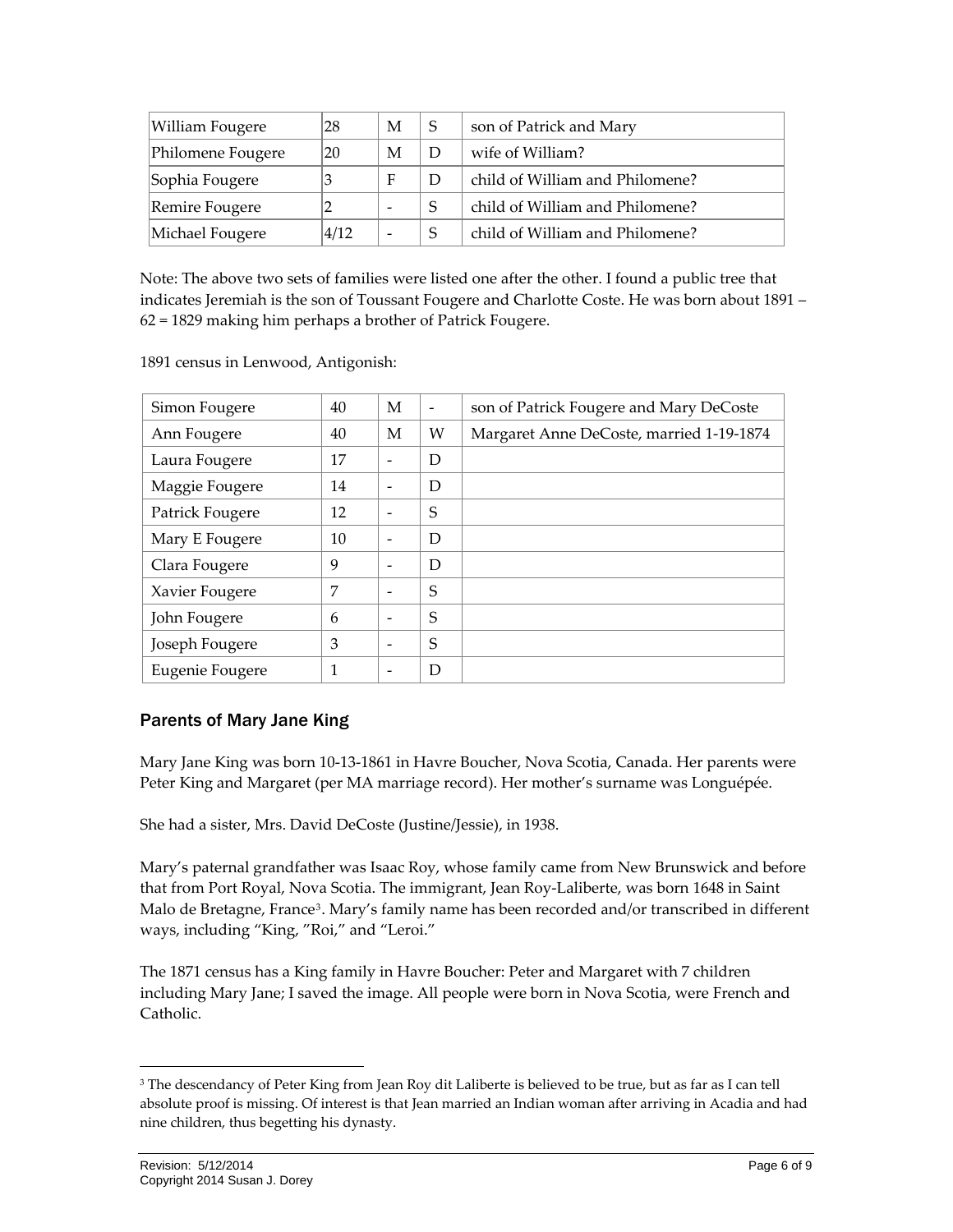| William Fougere   | 28   | M | S | son of Patrick and Mary         |
|-------------------|------|---|---|---------------------------------|
| Philomene Fougere | 20   | M | D | wife of William?                |
| Sophia Fougere    |      | F | D | child of William and Philomene? |
| Remire Fougere    |      | - | S | child of William and Philomene? |
| Michael Fougere   | 4/12 | - |   | child of William and Philomene? |

Note: The above two sets of families were listed one after the other. I found a public tree that indicates Jeremiah is the son of Toussant Fougere and Charlotte Coste. He was born about 1891 – 62 = 1829 making him perhaps a brother of Patrick Fougere.

| Simon Fougere   | 40 | M                        | $\overline{\phantom{a}}$ | son of Patrick Fougere and Mary DeCoste  |
|-----------------|----|--------------------------|--------------------------|------------------------------------------|
| Ann Fougere     | 40 | M                        | W                        | Margaret Anne DeCoste, married 1-19-1874 |
| Laura Fougere   | 17 |                          | D                        |                                          |
| Maggie Fougere  | 14 |                          | D                        |                                          |
| Patrick Fougere | 12 |                          | S                        |                                          |
| Mary E Fougere  | 10 | $\overline{\phantom{a}}$ | D                        |                                          |
| Clara Fougere   | 9  |                          | D                        |                                          |
| Xavier Fougere  | 7  | $\overline{\phantom{0}}$ | S                        |                                          |
| John Fougere    | 6  | -                        | S                        |                                          |
| Joseph Fougere  | 3  | -                        | S                        |                                          |
| Eugenie Fougere | 1  |                          | D                        |                                          |

1891 census in Lenwood, Antigonish:

#### <span id="page-5-0"></span>Parents of Mary Jane King

Mary Jane King was born 10‐13‐1861 in Havre Boucher, Nova Scotia, Canada. Her parents were Peter King and Margaret (per MA marriage record). Her mother's surname was Longuépée.

She had a sister, Mrs. David DeCoste (Justine/Jessie), in 1938.

Mary's paternal grandfather was Isaac Roy, whose family came from New Brunswick and before that from Port Royal, Nova Scotia. The immigrant, Jean Roy‐Laliberte, was born 1648 in Saint Malo de Bretagne, France<sup>[3](#page-5-1)</sup>. Mary's family name has been recorded and/or transcribed in different ways, including "King, "Roi," and "Leroi."

The 1871 census has a King family in Havre Boucher: Peter and Margaret with 7 children including Mary Jane; I saved the image. All people were born in Nova Scotia, were French and Catholic.

<u> 1989 - Johann Stein, marwolaethau a bhann an t-Amhair Aonaichte an t-Amhair Aonaichte an t-Amhair Aonaichte a</u>

<span id="page-5-1"></span><sup>&</sup>lt;sup>3</sup> The descendancy of Peter King from Jean Roy dit Laliberte is believed to be true, but as far as I can tell absolute proof is missing. Of interest is that Jean married an Indian woman after arriving in Acadia and had nine children, thus begetting his dynasty.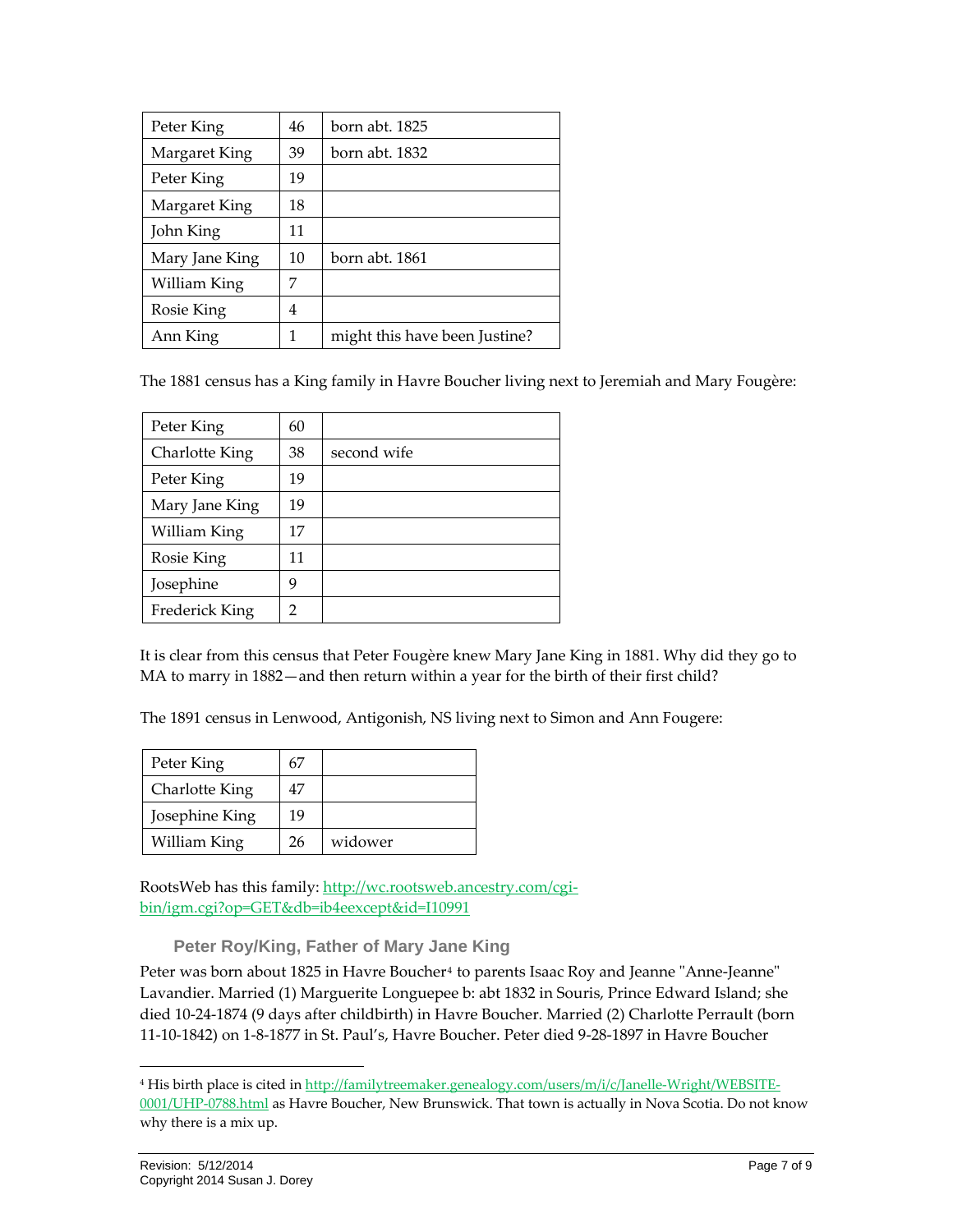| Peter King     | 46 | born abt. 1825                |
|----------------|----|-------------------------------|
| Margaret King  | 39 | born abt. 1832                |
| Peter King     | 19 |                               |
| Margaret King  | 18 |                               |
| John King      | 11 |                               |
| Mary Jane King | 10 | born abt. 1861                |
| William King   | 7  |                               |
| Rosie King     | 4  |                               |
| Ann King       | 1  | might this have been Justine? |

The 1881 census has a King family in Havre Boucher living next to Jeremiah and Mary Fougère:

| Peter King     | 60             |             |
|----------------|----------------|-------------|
| Charlotte King | 38             | second wife |
| Peter King     | 19             |             |
| Mary Jane King | 19             |             |
| William King   | 17             |             |
| Rosie King     | 11             |             |
| Josephine      | 9              |             |
| Frederick King | $\overline{2}$ |             |

It is clear from this census that Peter Fougère knew Mary Jane King in 1881. Why did they go to MA to marry in 1882—and then return within a year for the birth of their first child?

The 1891 census in Lenwood, Antigonish, NS living next to Simon and Ann Fougere:

| Peter King     | 67 |         |
|----------------|----|---------|
| Charlotte King | 47 |         |
| Josephine King | 19 |         |
| William King   | 26 | widower |

RootsWeb has this family: [http://wc.rootsweb.ancestry.com/cgi](http://wc.rootsweb.ancestry.com/cgi-bin/igm.cgi?op=GET&db=ib4eexcept&id=I10991)[bin/igm.cgi?op=GET&db=ib4eexcept&id=I10991](http://wc.rootsweb.ancestry.com/cgi-bin/igm.cgi?op=GET&db=ib4eexcept&id=I10991)

**Peter Roy/King, Father of Mary Jane King** 

<span id="page-6-0"></span>Peter was born about 1825 in Havre Boucher<sup>[4](#page-6-1)</sup> to parents Isaac Roy and Jeanne "Anne-Jeanne" Lavandier. Married (1) Marguerite Longuepee b: abt 1832 in Souris, Prince Edward Island; she died 10‐24‐1874 (9 days after childbirth) in Havre Boucher. Married (2) Charlotte Perrault (born 11‐10‐1842) on 1‐8‐1877 in St. Paul's, Havre Boucher. Peter died 9‐28‐1897 in Havre Boucher

<span id="page-6-1"></span><sup>4</sup> His birth place is cited in [http://familytreemaker.genealogy.com/users/m/i/c/Janelle](http://familytreemaker.genealogy.com/users/m/i/c/Janelle-Wright/WEBSITE-0001/UHP-0788.html)-Wright/WEBSITE-[0001/UHP](http://familytreemaker.genealogy.com/users/m/i/c/Janelle-Wright/WEBSITE-0001/UHP-0788.html)-0788.html as Havre Boucher, New Brunswick. That town is actually in Nova Scotia. Do not know why there is a mix up.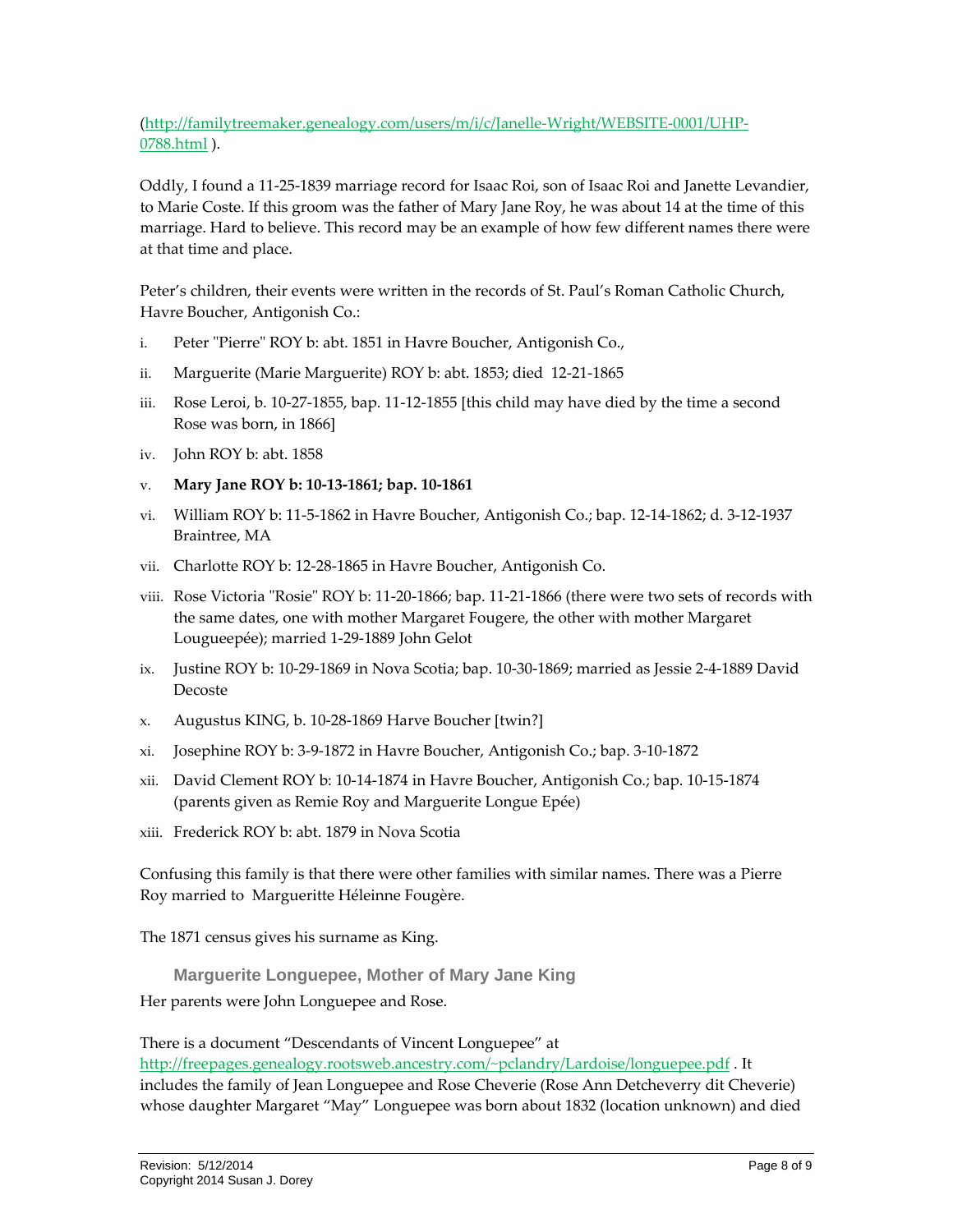#### [\(http://familytreemaker.genealogy.com/users/m/i/c/Janelle](http://familytreemaker.genealogy.com/users/m/i/c/Janelle-Wright/WEBSITE-0001/UHP-0788.html)‐Wright/WEBSITE‐0001/UHP‐ [0788.html](http://familytreemaker.genealogy.com/users/m/i/c/Janelle-Wright/WEBSITE-0001/UHP-0788.html) ).

Oddly, I found a 11‐25‐1839 marriage record for Isaac Roi, son of Isaac Roi and Janette Levandier, to Marie Coste. If this groom was the father of Mary Jane Roy, he was about 14 at the time of this marriage. Hard to believe. This record may be an example of how few different names there were at that time and place.

Peter's children, their events were written in the records of St. Paul's Roman Catholic Church, Havre Boucher, Antigonish Co.:

- i. Peter "Pierre" ROY b: abt. 1851 in Havre Boucher, Antigonish Co.,
- ii. Marguerite (Marie Marguerite) ROY b: abt. 1853; died 12‐21‐1865
- iii. Rose Leroi, b. 10‐27‐1855, bap. 11‐12‐1855 [this child may have died by the time a second Rose was born, in 1866]
- iv. John ROY b: abt. 1858
- v. **Mary Jane ROY b: 10‐13‐1861; bap. 10‐1861**
- vi. William ROY b: 11‐5‐1862 in Havre Boucher, Antigonish Co.; bap. 12‐14‐1862; d. 3‐12‐1937 Braintree, MA
- vii. Charlotte ROY b: 12‐28‐1865 in Havre Boucher, Antigonish Co.
- viii. Rose Victoria "Rosie" ROY b: 11-20-1866; bap. 11-21-1866 (there were two sets of records with the same dates, one with mother Margaret Fougere, the other with mother Margaret Lougueepée); married 1‐29‐1889 John Gelot
- ix. Justine ROY b: 10‐29‐1869 in Nova Scotia; bap. 10‐30‐1869; married as Jessie 2‐4‐1889 David Decoste
- x. Augustus KING, b. 10‐28‐1869 Harve Boucher [twin?]
- xi. Josephine ROY b: 3‐9‐1872 in Havre Boucher, Antigonish Co.; bap. 3‐10‐1872
- xii. David Clement ROY b: 10‐14‐1874 in Havre Boucher, Antigonish Co.; bap. 10‐15‐1874 (parents given as Remie Roy and Marguerite Longue Epée)
- xiii. Frederick ROY b: abt. 1879 in Nova Scotia

Confusing this family is that there were other families with similar names. There was a Pierre Roy married to Margueritte Héleinne Fougère.

The 1871 census gives his surname as King.

<span id="page-7-0"></span>**Marguerite Longuepee, Mother of Mary Jane King**  Her parents were John Longuepee and Rose.

There is a document "Descendants of Vincent Longuepee" at [http://freepages.genealogy.rootsweb.ancestry.com/~pclandry/Lardoise/longuepee.pdf](http://freepages.genealogy.rootsweb.ancestry.com/%7Epclandry/Lardoise/longuepee.pdf) . It includes the family of Jean Longuepee and Rose Cheverie (Rose Ann Detcheverry dit Cheverie) whose daughter Margaret "May" Longuepee was born about 1832 (location unknown) and died